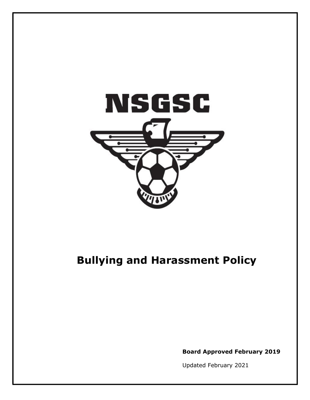

# **Bullying and Harassment Policy**

**Board Approved February 2019**

Updated February 2021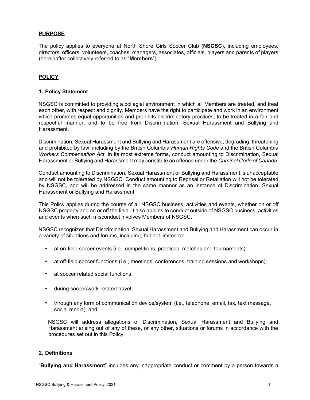#### **PURPOSE**

The policy applies to everyone at North Shore Girls Soccer Club (**NSGSC**), including employees, directors, officers, volunteers, coaches, managers, associates, officials, players and parents of players (hereinafter collectively referred to as "**Members**").

## **POLICY**

#### **1. Policy Statement**

NSGSC is committed to providing a collegial environment in which all Members are treated, and treat each other, with respect and dignity. Members have the right to participate and work in an environment which promotes equal opportunities and prohibits discriminatory practices, to be treated in a fair and respectful manner, and to be free from Discrimination, Sexual Harassment and Bullying and Harassment.

Discrimination, Sexual Harassment and Bullying and Harassment are offensive, degrading, threatening and prohibited by law, including by the British Columbia *Human Rights Code* and the British Columbia *Workers Compensation Act*. In its most extreme forms, conduct amounting to Discrimination, Sexual Harassment or Bullying and Harassment may constitute an offence under the *Criminal Code of Canada*.

Conduct amounting to Discrimination, Sexual Harassment or Bullying and Harassment is unacceptable and will not be tolerated by NSGSC. Conduct amounting to Reprisal or Retaliation will not be tolerated by NSGSC, and will be addressed in the same manner as an instance of Discrimination, Sexual Harassment or Bullying and Harassment.

This Policy applies during the course of all NSGSC business, activities and events, whether on or off NSGSC property and on or off the field. It also applies to conduct outside of NSGSC business, activities and events when such misconduct involves Members of NSGSC.

NSGSC recognizes that Discrimination, Sexual Harassment and Bullying and Harassment can occur in a variety of situations and forums, including, but not limited to:

- at on-field soccer events (i.e., competitions, practices, matches and tournaments);
- at off-field soccer functions (i.e., meetings, conferences, training sessions and workshops);
- at soccer related social functions;
- during soccer/work-related travel;
- through any form of communication device/system (i.e., telephone, email, fax, text message, social media); and

NSGSC will address allegations of Discrimination, Sexual Harassment and Bullying and Harassment arising out of any of these, or any other, situations or forums in accordance with the procedures set out in this Policy.

## **2. Definitions**

"**Bullying and Harassment**" includes any inappropriate conduct or comment by a person towards a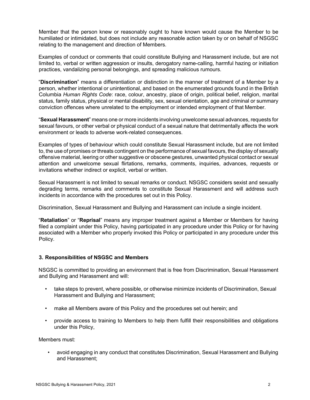Member that the person knew or reasonably ought to have known would cause the Member to be humiliated or intimidated, but does not include any reasonable action taken by or on behalf of NSGSC relating to the management and direction of Members.

Examples of conduct or comments that could constitute Bullying and Harassment include, but are not limited to, verbal or written aggression or insults, derogatory name-calling, harmful hazing or initiation practices, vandalizing personal belongings, and spreading malicious rumours.

"**Discrimination**" means a differentiation or distinction in the manner of treatment of a Member by a person, whether intentional or unintentional, and based on the enumerated grounds found in the British Columbia *Human Rights Code*: race, colour, ancestry, place of origin, political belief, religion, marital status, family status, physical or mental disability, sex, sexual orientation, age and criminal or summary conviction offences where unrelated to the employment or intended employment of that Member.

"**Sexual Harassment**" means one or more incidents involving unwelcome sexual advances, requests for sexual favours, or other verbal or physical conduct of a sexual nature that detrimentally affects the work environment or leads to adverse work-related consequences.

Examples of types of behaviour which could constitute Sexual Harassment include, but are not limited to, the use of promises or threats contingent on the performance of sexual favours, the display of sexually offensive material, leering or other suggestive or obscene gestures, unwanted physical contact or sexual attention and unwelcome sexual flirtations, remarks, comments, inquiries, advances, requests or invitations whether indirect or explicit, verbal or written.

Sexual Harassment is not limited to sexual remarks or conduct. NSGSC considers sexist and sexually degrading terms, remarks and comments to constitute Sexual Harassment and will address such incidents in accordance with the procedures set out in this Policy.

Discrimination, Sexual Harassment and Bullying and Harassment can include a single incident.

"**Retaliation**" or "**Reprisal**" means any improper treatment against a Member or Members for having filed a complaint under this Policy, having participated in any procedure under this Policy or for having associated with a Member who properly invoked this Policy or participated in any procedure under this Policy.

## **3. Responsibilities of NSGSC and Members**

NSGSC is committed to providing an environment that is free from Discrimination, Sexual Harassment and Bullying and Harassment and will:

- take steps to prevent, where possible, or otherwise minimize incidents of Discrimination, Sexual Harassment and Bullying and Harassment;
- make all Members aware of this Policy and the procedures set out herein; and
- provide access to training to Members to help them fulfill their responsibilities and obligations under this Policy,

Members must:

• avoid engaging in any conduct that constitutes Discrimination, Sexual Harassment and Bullying and Harassment;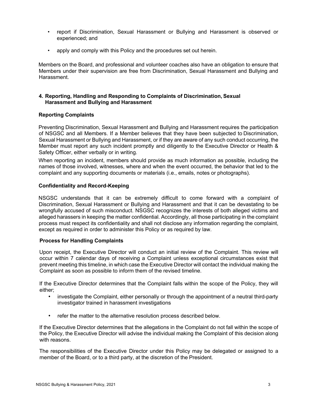- report if Discrimination, Sexual Harassment or Bullying and Harassment is observed or experienced; and
- apply and comply with this Policy and the procedures set out herein.

Members on the Board, and professional and volunteer coaches also have an obligation to ensure that Members under their supervision are free from Discrimination, Sexual Harassment and Bullying and Harassment.

#### **4. Reporting, Handling and Responding to Complaints of Discrimination, Sexual Harassment and Bullying and Harassment**

## **Reporting Complaints**

Preventing Discrimination, Sexual Harassment and Bullying and Harassment requires the participation of NSGSC and all Members. If a Member believes that they have been subjected to Discrimination, Sexual Harassment or Bullying and Harassment, or if they are aware of any such conduct occurring, the Member must report any such incident promptly and diligently to the Executive Director or Health & Safety Officer, either verbally or in writing.

When reporting an incident, members should provide as much information as possible, including the names of those involved, witnesses, where and when the event occurred, the behavior that led to the complaint and any supporting documents or materials (i.e., emails, notes or photographs).

## **Confidentiality and Record-Keeping**

NSGSC understands that it can be extremely difficult to come forward with a complaint of Discrimination, Sexual Harassment or Bullying and Harassment and that it can be devastating to be wrongfully accused of such misconduct. NSGSC recognizes the interests of both alleged victims and alleged harassers in keeping the matter confidential. Accordingly, all those participating in the complaint process must respect its confidentiality and shall not disclose any information regarding the complaint, except as required in order to administer this Policy or as required by law.

## **Process for Handling Complaints**

Upon receipt, the Executive Director will conduct an initial review of the Complaint. This review will occur within 7 calendar days of receiving a Complaint unless exceptional circumstances exist that prevent meeting this timeline, in which case the Executive Director will contact the individual making the Complaint as soon as possible to inform them of the revised timeline.

If the Executive Director determines that the Complaint falls within the scope of the Policy, they will either;

- investigate the Complaint, either personally or through the appointment of a neutral third-party investigator trained in harassment investigations
- refer the matter to the alternative resolution process described below.

If the Executive Director determines that the allegations in the Complaint do not fall within the scope of the Policy, the Executive Director will advise the individual making the Complaint of this decision along with reasons.

The responsibilities of the Executive Director under this Policy may be delegated or assigned to a member of the Board, or to a third party, at the discretion of the President.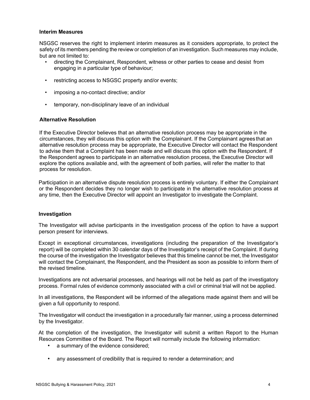#### **Interim Measures**

NSGSC reserves the right to implement interim measures as it considers appropriate, to protect the safety of its members pending the review or completion of an investigation. Such measures may include, but are not limited to:

- directing the Complainant, Respondent, witness or other parties to cease and desist from engaging in a particular type of behaviour;
- restricting access to NSGSC property and/or events;
- imposing a no-contact directive; and/or
- temporary, non-disciplinary leave of an individual

## **Alternative Resolution**

If the Executive Director believes that an alternative resolution process may be appropriate in the circumstances, they will discuss this option with the Complainant. If the Complainant agrees that an alternative resolution process may be appropriate, the Executive Director will contact the Respondent to advise them that a Complaint has been made and will discuss this option with the Respondent. If the Respondent agrees to participate in an alternative resolution process, the Executive Director will explore the options available and, with the agreement of both parties, will refer the matter to that process for resolution.

Participation in an alternative dispute resolution process is entirely voluntary. If either the Complainant or the Respondent decides they no longer wish to participate in the alternative resolution process at any time, then the Executive Director will appoint an Investigator to investigate the Complaint.

## **Investigation**

The Investigator will advise participants in the investigation process of the option to have a support person present for interviews.

Except in exceptional circumstances, investigations (including the preparation of the Investigator's report) will be completed within 30 calendar days of the Investigator's receipt of the Complaint. If during the course of the investigation the Investigator believes that this timeline cannot be met, the Investigator will contact the Complainant, the Respondent, and the President as soon as possible to inform them of the revised timeline.

Investigations are not adversarial processes, and hearings will not be held as part of the investigatory process. Formal rules of evidence commonly associated with a civil or criminal trial will not be applied.

In all investigations, the Respondent will be informed of the allegations made against them and will be given a full opportunity to respond.

The Investigator will conduct the investigation in a procedurally fair manner, using a process determined by the Investigator.

At the completion of the investigation, the Investigator will submit a written Report to the Human Resources Committee of the Board. The Report will normally include the following information:

- a summary of the evidence considered;
- any assessment of credibility that is required to render a determination; and